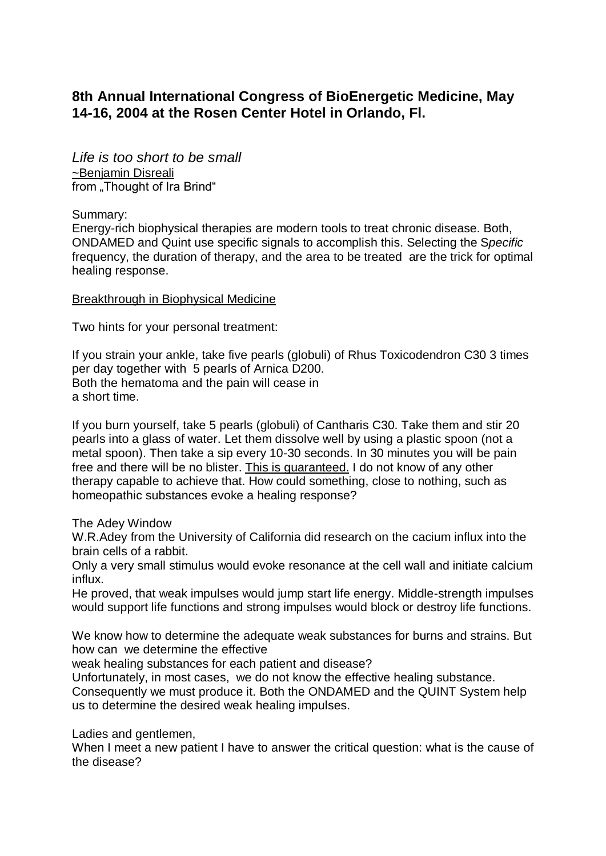# **8th Annual International Congress of BioEnergetic Medicine, May 14-16, 2004 at the Rosen Center Hotel in Orlando, Fl.**

*Life is too short to be small* ~Benjamin Disreali from ..Thought of Ira Brind"

Summary:

Energy-rich biophysical therapies are modern tools to treat chronic disease. Both, ONDAMED and Quint use specific signals to accomplish this. Selecting the S*pecific*  frequency, the duration of therapy, and the area to be treated are the trick for optimal healing response.

## Breakthrough in Biophysical Medicine

Two hints for your personal treatment:

If you strain your ankle, take five pearls (globuli) of Rhus Toxicodendron C30 3 times per day together with 5 pearls of Arnica D200. Both the hematoma and the pain will cease in a short time.

If you burn yourself, take 5 pearls (globuli) of Cantharis C30. Take them and stir 20 pearls into a glass of water. Let them dissolve well by using a plastic spoon (not a metal spoon). Then take a sip every 10-30 seconds. In 30 minutes you will be pain free and there will be no blister. This is guaranteed. I do not know of any other therapy capable to achieve that. How could something, close to nothing, such as homeopathic substances evoke a healing response?

The Adey Window

W.R.Adey from the University of California did research on the cacium influx into the brain cells of a rabbit.

Only a very small stimulus would evoke resonance at the cell wall and initiate calcium influx.

He proved, that weak impulses would jump start life energy. Middle-strength impulses would support life functions and strong impulses would block or destroy life functions.

We know how to determine the adequate weak substances for burns and strains. But how can we determine the effective

weak healing substances for each patient and disease?

Unfortunately, in most cases, we do not know the effective healing substance. Consequently we must produce it. Both the ONDAMED and the QUINT System help us to determine the desired weak healing impulses.

Ladies and gentlemen,

When I meet a new patient I have to answer the critical question: what is the cause of the disease?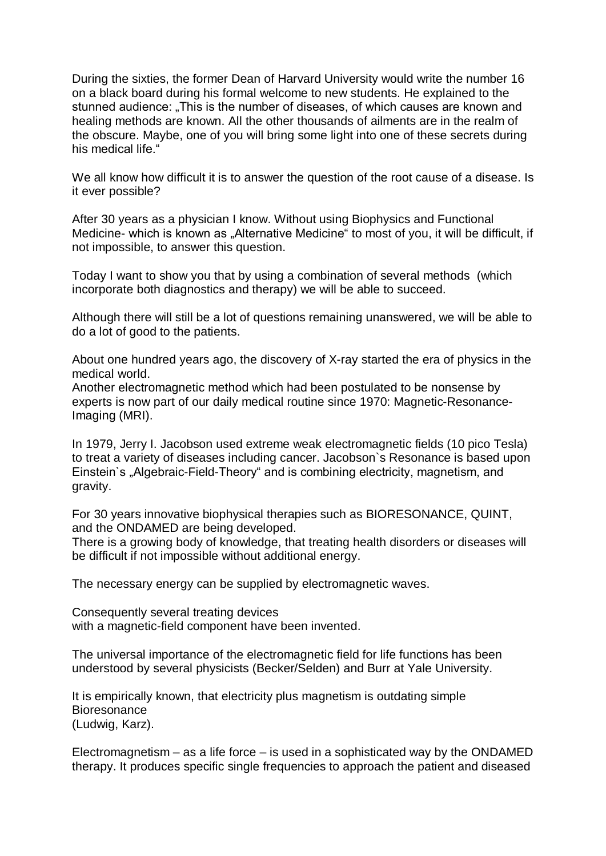During the sixties, the former Dean of Harvard University would write the number 16 on a black board during his formal welcome to new students. He explained to the stunned audience: "This is the number of diseases, of which causes are known and healing methods are known. All the other thousands of ailments are in the realm of the obscure. Maybe, one of you will bring some light into one of these secrets during his medical life."

We all know how difficult it is to answer the question of the root cause of a disease. Is it ever possible?

After 30 years as a physician I know. Without using Biophysics and Functional Medicine- which is known as "Alternative Medicine" to most of you, it will be difficult, if not impossible, to answer this question.

Today I want to show you that by using a combination of several methods (which incorporate both diagnostics and therapy) we will be able to succeed.

Although there will still be a lot of questions remaining unanswered, we will be able to do a lot of good to the patients.

About one hundred years ago, the discovery of X-ray started the era of physics in the medical world.

Another electromagnetic method which had been postulated to be nonsense by experts is now part of our daily medical routine since 1970: Magnetic-Resonance-Imaging (MRI).

In 1979, Jerry I. Jacobson used extreme weak electromagnetic fields (10 pico Tesla) to treat a variety of diseases including cancer. Jacobson`s Resonance is based upon Einstein's "Algebraic-Field-Theory" and is combining electricity, magnetism, and gravity.

For 30 years innovative biophysical therapies such as BIORESONANCE, QUINT, and the ONDAMED are being developed.

There is a growing body of knowledge, that treating health disorders or diseases will be difficult if not impossible without additional energy.

The necessary energy can be supplied by electromagnetic waves.

Consequently several treating devices with a magnetic-field component have been invented.

The universal importance of the electromagnetic field for life functions has been understood by several physicists (Becker/Selden) and Burr at Yale University.

It is empirically known, that electricity plus magnetism is outdating simple **Bioresonance** (Ludwig, Karz).

Electromagnetism – as a life force – is used in a sophisticated way by the ONDAMED therapy. It produces specific single frequencies to approach the patient and diseased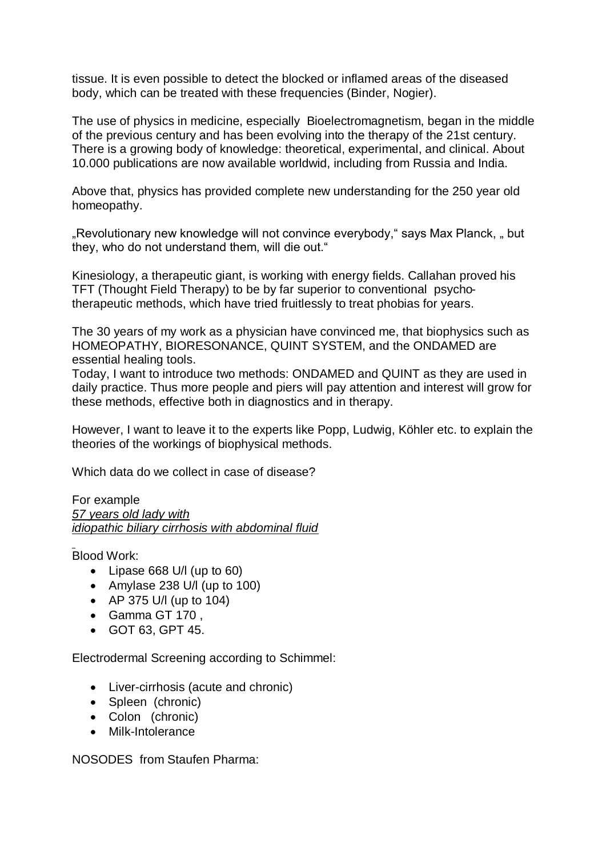tissue. It is even possible to detect the blocked or inflamed areas of the diseased body, which can be treated with these frequencies (Binder, Nogier).

The use of physics in medicine, especially Bioelectromagnetism, began in the middle of the previous century and has been evolving into the therapy of the 21st century. There is a growing body of knowledge: theoretical, experimental, and clinical. About 10.000 publications are now available worldwid, including from Russia and India.

Above that, physics has provided complete new understanding for the 250 year old homeopathy.

"Revolutionary new knowledge will not convince everybody," says Max Planck, " but they, who do not understand them, will die out."

Kinesiology, a therapeutic giant, is working with energy fields. Callahan proved his TFT (Thought Field Therapy) to be by far superior to conventional psychotherapeutic methods, which have tried fruitlessly to treat phobias for years.

The 30 years of my work as a physician have convinced me, that biophysics such as HOMEOPATHY, BIORESONANCE, QUINT SYSTEM, and the ONDAMED are essential healing tools.

Today, I want to introduce two methods: ONDAMED and QUINT as they are used in daily practice. Thus more people and piers will pay attention and interest will grow for these methods, effective both in diagnostics and in therapy.

However, I want to leave it to the experts like Popp, Ludwig, Köhler etc. to explain the theories of the workings of biophysical methods.

Which data do we collect in case of disease?

#### For example *57 years old lady with idiopathic biliary cirrhosis with abdominal fluid*

Blood Work:

- Lipase 668 U/l (up to 60)
- Amylase 238 U/l (up to 100)
- AP  $375$  U/I (up to 104)
- Gamma GT 170 ,
- GOT 63, GPT 45.

Electrodermal Screening according to Schimmel:

- Liver-cirrhosis (acute and chronic)
- Spleen (chronic)
- Colon (chronic)
- Milk-Intolerance

NOSODES from Staufen Pharma: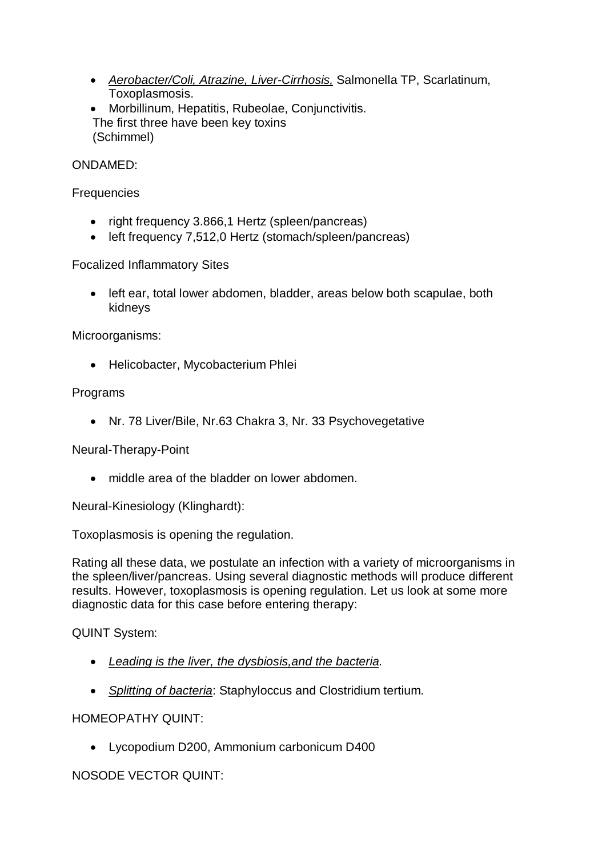- *Aerobacter/Coli, Atrazine, Liver-Cirrhosis,* Salmonella TP, Scarlatinum, Toxoplasmosis.
- Morbillinum, Hepatitis, Rubeolae, Conjunctivitis. The first three have been key toxins (Schimmel)

## ONDAMED:

#### **Frequencies**

- right frequency 3.866.1 Hertz (spleen/pancreas)
- left frequency 7,512,0 Hertz (stomach/spleen/pancreas)

Focalized Inflammatory Sites

• left ear, total lower abdomen, bladder, areas below both scapulae, both kidneys

Microorganisms:

• Helicobacter, Mycobacterium Phlei

## Programs

Nr. 78 Liver/Bile, Nr.63 Chakra 3, Nr. 33 Psychovegetative

Neural-Therapy-Point

• middle area of the bladder on lower abdomen.

Neural-Kinesiology (Klinghardt):

Toxoplasmosis is opening the regulation.

Rating all these data, we postulate an infection with a variety of microorganisms in the spleen/liver/pancreas. Using several diagnostic methods will produce different results. However, toxoplasmosis is opening regulation. Let us look at some more diagnostic data for this case before entering therapy:

QUINT System:

- *Leading is the liver, the dysbiosis,and the bacteria*.
- *Splitting of bacteria*: Staphyloccus and Clostridium tertium.

## HOMEOPATHY QUINT:

Lycopodium D200, Ammonium carbonicum D400

NOSODE VECTOR QUINT: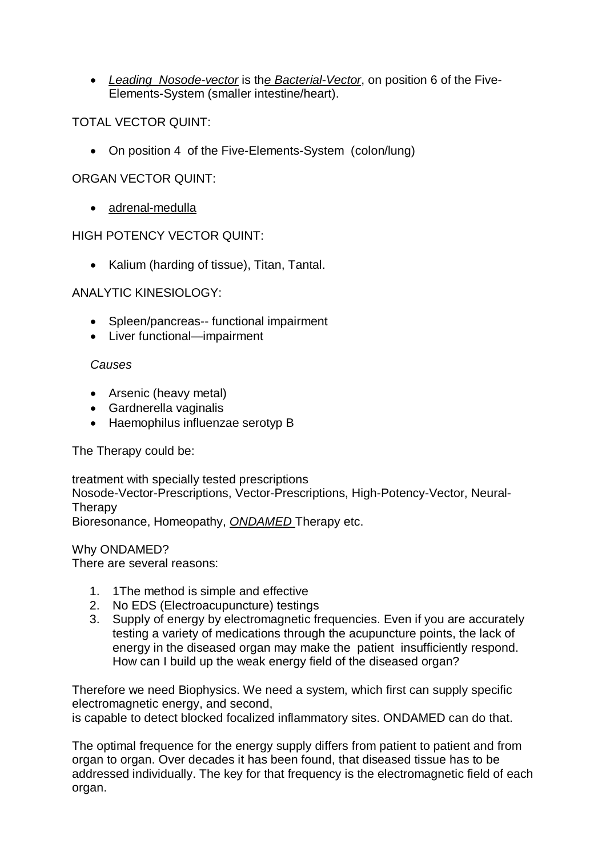*Leading Nosode-vector* is th*e Bacterial-Vector*, on position 6 of the Five-Elements-System (smaller intestine/heart).

TOTAL VECTOR QUINT:

On position 4 of the Five-Elements-System (colon/lung)

ORGAN VECTOR QUINT:

adrenal-medulla

HIGH POTENCY VECTOR QUINT:

• Kalium (harding of tissue), Titan, Tantal.

## ANALYTIC KINESIOLOGY:

- Spleen/pancreas-- functional impairment
- Liver functional—impairment

## *Causes*

- Arsenic (heavy metal)
- Gardnerella vaginalis
- Haemophilus influenzae serotyp B

The Therapy could be:

treatment with specially tested prescriptions Nosode-Vector-Prescriptions, Vector-Prescriptions, High-Potency-Vector, Neural-**Therapy** Bioresonance, Homeopathy, *ONDAMED* Therapy etc.

Why ONDAMED?

There are several reasons:

- 1. 1The method is simple and effective
- 2. No EDS (Electroacupuncture) testings
- 3. Supply of energy by electromagnetic frequencies. Even if you are accurately testing a variety of medications through the acupuncture points, the lack of energy in the diseased organ may make the patient insufficiently respond. How can I build up the weak energy field of the diseased organ?

Therefore we need Biophysics. We need a system, which first can supply specific electromagnetic energy, and second,

is capable to detect blocked focalized inflammatory sites. ONDAMED can do that.

The optimal frequence for the energy supply differs from patient to patient and from organ to organ. Over decades it has been found, that diseased tissue has to be addressed individually. The key for that frequency is the electromagnetic field of each organ.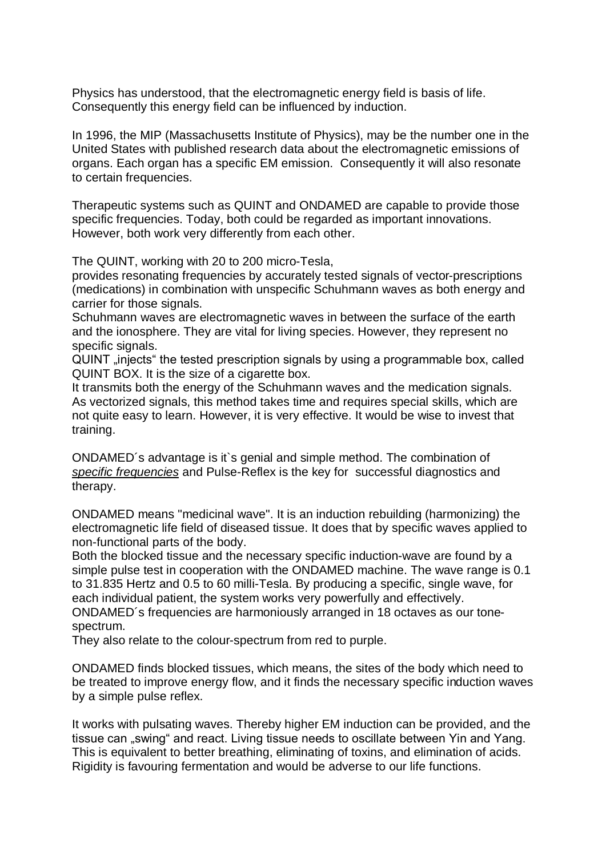Physics has understood, that the electromagnetic energy field is basis of life. Consequently this energy field can be influenced by induction.

In 1996, the MIP (Massachusetts Institute of Physics), may be the number one in the United States with published research data about the electromagnetic emissions of organs. Each organ has a specific EM emission. Consequently it will also resonate to certain frequencies.

Therapeutic systems such as QUINT and ONDAMED are capable to provide those specific frequencies. Today, both could be regarded as important innovations. However, both work very differently from each other.

The QUINT, working with 20 to 200 micro-Tesla,

provides resonating frequencies by accurately tested signals of vector-prescriptions (medications) in combination with unspecific Schuhmann waves as both energy and carrier for those signals.

Schuhmann waves are electromagnetic waves in between the surface of the earth and the ionosphere. They are vital for living species. However, they represent no specific signals.

QUINT "injects" the tested prescription signals by using a programmable box, called QUINT BOX. It is the size of a cigarette box.

It transmits both the energy of the Schuhmann waves and the medication signals. As vectorized signals, this method takes time and requires special skills, which are not quite easy to learn. However, it is very effective. It would be wise to invest that training.

ONDAMED´s advantage is it`s genial and simple method. The combination of *specific frequencies* and Pulse-Reflex is the key for successful diagnostics and therapy.

ONDAMED means "medicinal wave". It is an induction rebuilding (harmonizing) the electromagnetic life field of diseased tissue. It does that by specific waves applied to non-functional parts of the body.

Both the blocked tissue and the necessary specific induction-wave are found by a simple pulse test in cooperation with the ONDAMED machine. The wave range is 0.1 to 31.835 Hertz and 0.5 to 60 milli-Tesla. By producing a specific, single wave, for each individual patient, the system works very powerfully and effectively.

ONDAMED´s frequencies are harmoniously arranged in 18 octaves as our tonespectrum.

They also relate to the colour-spectrum from red to purple.

ONDAMED finds blocked tissues, which means, the sites of the body which need to be treated to improve energy flow, and it finds the necessary specific induction waves by a simple pulse reflex.

It works with pulsating waves. Thereby higher EM induction can be provided, and the tissue can "swing" and react. Living tissue needs to oscillate between Yin and Yang. This is equivalent to better breathing, eliminating of toxins, and elimination of acids. Rigidity is favouring fermentation and would be adverse to our life functions.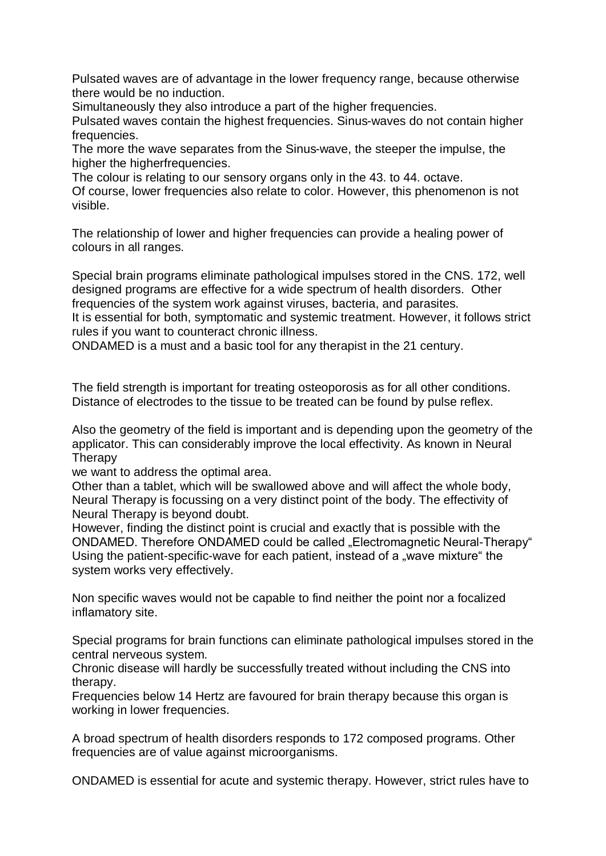Pulsated waves are of advantage in the lower frequency range, because otherwise there would be no induction.

Simultaneously they also introduce a part of the higher frequencies.

Pulsated waves contain the highest frequencies. Sinus-waves do not contain higher frequencies.

The more the wave separates from the Sinus-wave, the steeper the impulse, the higher the higherfrequencies.

The colour is relating to our sensory organs only in the 43. to 44. octave.

Of course, lower frequencies also relate to color. However, this phenomenon is not visible.

The relationship of lower and higher frequencies can provide a healing power of colours in all ranges.

Special brain programs eliminate pathological impulses stored in the CNS. 172, well designed programs are effective for a wide spectrum of health disorders. Other frequencies of the system work against viruses, bacteria, and parasites. It is essential for both, symptomatic and systemic treatment. However, it follows strict

rules if you want to counteract chronic illness. ONDAMED is a must and a basic tool for any therapist in the 21 century.

The field strength is important for treating osteoporosis as for all other conditions. Distance of electrodes to the tissue to be treated can be found by pulse reflex.

Also the geometry of the field is important and is depending upon the geometry of the applicator. This can considerably improve the local effectivity. As known in Neural **Therapy** 

we want to address the optimal area.

Other than a tablet, which will be swallowed above and will affect the whole body, Neural Therapy is focussing on a very distinct point of the body. The effectivity of Neural Therapy is beyond doubt.

However, finding the distinct point is crucial and exactly that is possible with the ONDAMED. Therefore ONDAMED could be called "Electromagnetic Neural-Therapy" Using the patient-specific-wave for each patient, instead of a "wave mixture" the system works very effectively.

Non specific waves would not be capable to find neither the point nor a focalized inflamatory site.

Special programs for brain functions can eliminate pathological impulses stored in the central nerveous system.

Chronic disease will hardly be successfully treated without including the CNS into therapy.

Frequencies below 14 Hertz are favoured for brain therapy because this organ is working in lower frequencies.

A broad spectrum of health disorders responds to 172 composed programs. Other frequencies are of value against microorganisms.

ONDAMED is essential for acute and systemic therapy. However, strict rules have to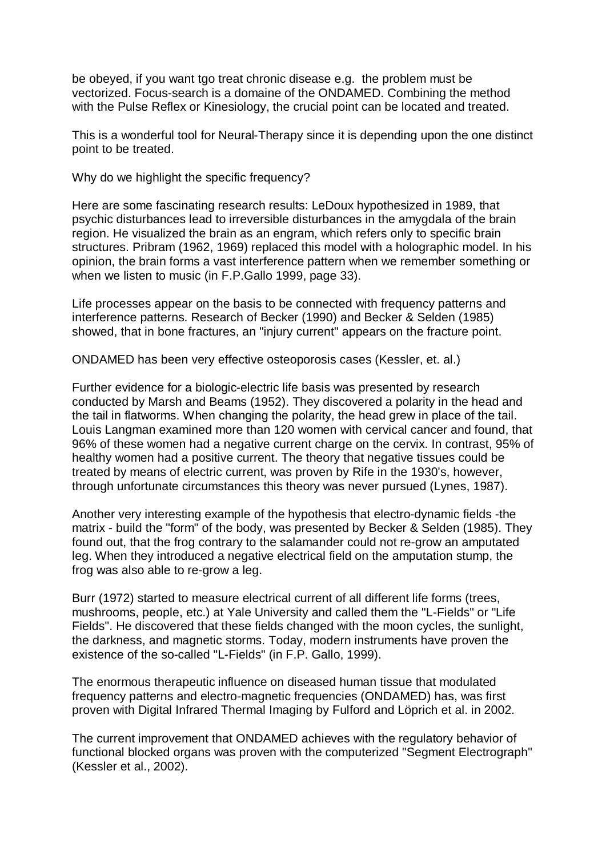be obeyed, if you want tgo treat chronic disease e.g. the problem must be vectorized. Focus-search is a domaine of the ONDAMED. Combining the method with the Pulse Reflex or Kinesiology, the crucial point can be located and treated.

This is a wonderful tool for Neural-Therapy since it is depending upon the one distinct point to be treated.

Why do we highlight the specific frequency?

Here are some fascinating research results: LeDoux hypothesized in 1989, that psychic disturbances lead to irreversible disturbances in the amygdala of the brain region. He visualized the brain as an engram, which refers only to specific brain structures. Pribram (1962, 1969) replaced this model with a holographic model. In his opinion, the brain forms a vast interference pattern when we remember something or when we listen to music (in F.P.Gallo 1999, page 33).

Life processes appear on the basis to be connected with frequency patterns and interference patterns. Research of Becker (1990) and Becker & Selden (1985) showed, that in bone fractures, an "injury current" appears on the fracture point.

ONDAMED has been very effective osteoporosis cases (Kessler, et. al.)

Further evidence for a biologic-electric life basis was presented by research conducted by Marsh and Beams (1952). They discovered a polarity in the head and the tail in flatworms. When changing the polarity, the head grew in place of the tail. Louis Langman examined more than 120 women with cervical cancer and found, that 96% of these women had a negative current charge on the cervix. In contrast, 95% of healthy women had a positive current. The theory that negative tissues could be treated by means of electric current, was proven by Rife in the 1930's, however, through unfortunate circumstances this theory was never pursued (Lynes, 1987).

Another very interesting example of the hypothesis that electro-dynamic fields -the matrix - build the "form" of the body, was presented by Becker & Selden (1985). They found out, that the frog contrary to the salamander could not re-grow an amputated leg. When they introduced a negative electrical field on the amputation stump, the frog was also able to re-grow a leg.

Burr (1972) started to measure electrical current of all different life forms (trees, mushrooms, people, etc.) at Yale University and called them the "L-Fields" or "Life Fields". He discovered that these fields changed with the moon cycles, the sunlight, the darkness, and magnetic storms. Today, modern instruments have proven the existence of the so-called "L-Fields" (in F.P. Gallo, 1999).

The enormous therapeutic influence on diseased human tissue that modulated frequency patterns and electro-magnetic frequencies (ONDAMED) has, was first proven with Digital Infrared Thermal Imaging by Fulford and Löprich et al. in 2002.

The current improvement that ONDAMED achieves with the regulatory behavior of functional blocked organs was proven with the computerized "Segment Electrograph" (Kessler et al., 2002).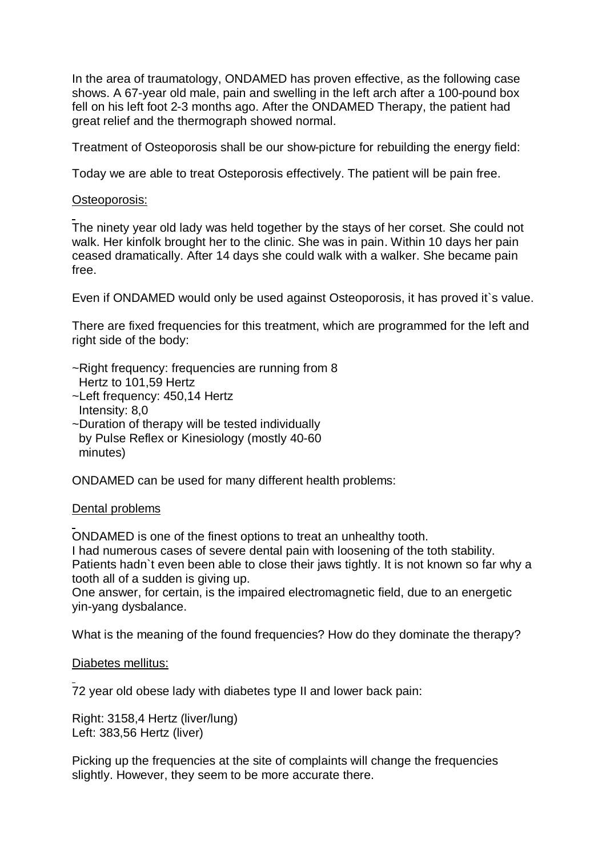In the area of traumatology, ONDAMED has proven effective, as the following case shows. A 67-year old male, pain and swelling in the left arch after a 100-pound box fell on his left foot 2-3 months ago. After the ONDAMED Therapy, the patient had great relief and the thermograph showed normal.

Treatment of Osteoporosis shall be our show-picture for rebuilding the energy field:

Today we are able to treat Osteporosis effectively. The patient will be pain free.

## Osteoporosis:

The ninety year old lady was held together by the stays of her corset. She could not walk. Her kinfolk brought her to the clinic. She was in pain. Within 10 days her pain ceased dramatically. After 14 days she could walk with a walker. She became pain free.

Even if ONDAMED would only be used against Osteoporosis, it has proved it`s value.

There are fixed frequencies for this treatment, which are programmed for the left and right side of the body:

- ~Right frequency: frequencies are running from 8
- Hertz to 101,59 Hertz
- ~Left frequency: 450,14 Hertz
- Intensity: 8,0
- ~Duration of therapy will be tested individually by Pulse Reflex or Kinesiology (mostly 40-60 minutes)

ONDAMED can be used for many different health problems:

## Dental problems

ONDAMED is one of the finest options to treat an unhealthy tooth.

I had numerous cases of severe dental pain with loosening of the toth stability. Patients hadn`t even been able to close their jaws tightly. It is not known so far why a tooth all of a sudden is giving up.

One answer, for certain, is the impaired electromagnetic field, due to an energetic yin-yang dysbalance.

What is the meaning of the found frequencies? How do they dominate the therapy?

## Diabetes mellitus:

72 year old obese lady with diabetes type II and lower back pain:

Right: 3158,4 Hertz (liver/lung) Left: 383,56 Hertz (liver)

Picking up the frequencies at the site of complaints will change the frequencies slightly. However, they seem to be more accurate there.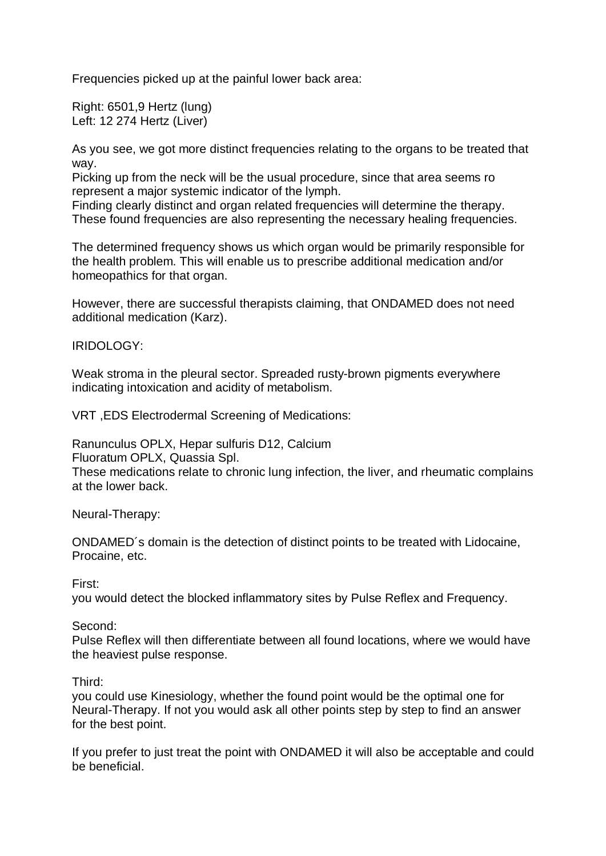Frequencies picked up at the painful lower back area:

Right: 6501,9 Hertz (lung) Left: 12 274 Hertz (Liver)

As you see, we got more distinct frequencies relating to the organs to be treated that way.

Picking up from the neck will be the usual procedure, since that area seems ro represent a major systemic indicator of the lymph.

Finding clearly distinct and organ related frequencies will determine the therapy. These found frequencies are also representing the necessary healing frequencies.

The determined frequency shows us which organ would be primarily responsible for the health problem. This will enable us to prescribe additional medication and/or homeopathics for that organ.

However, there are successful therapists claiming, that ONDAMED does not need additional medication (Karz).

## IRIDOLOGY:

Weak stroma in the pleural sector. Spreaded rusty-brown pigments everywhere indicating intoxication and acidity of metabolism.

VRT ,EDS Electrodermal Screening of Medications:

Ranunculus OPLX, Hepar sulfuris D12, Calcium Fluoratum OPLX, Quassia Spl.

These medications relate to chronic lung infection, the liver, and rheumatic complains at the lower back.

Neural-Therapy:

ONDAMED´s domain is the detection of distinct points to be treated with Lidocaine, Procaine, etc.

First:

you would detect the blocked inflammatory sites by Pulse Reflex and Frequency.

#### Second:

Pulse Reflex will then differentiate between all found locations, where we would have the heaviest pulse response.

Third:

you could use Kinesiology, whether the found point would be the optimal one for Neural-Therapy. If not you would ask all other points step by step to find an answer for the best point.

If you prefer to just treat the point with ONDAMED it will also be acceptable and could be beneficial.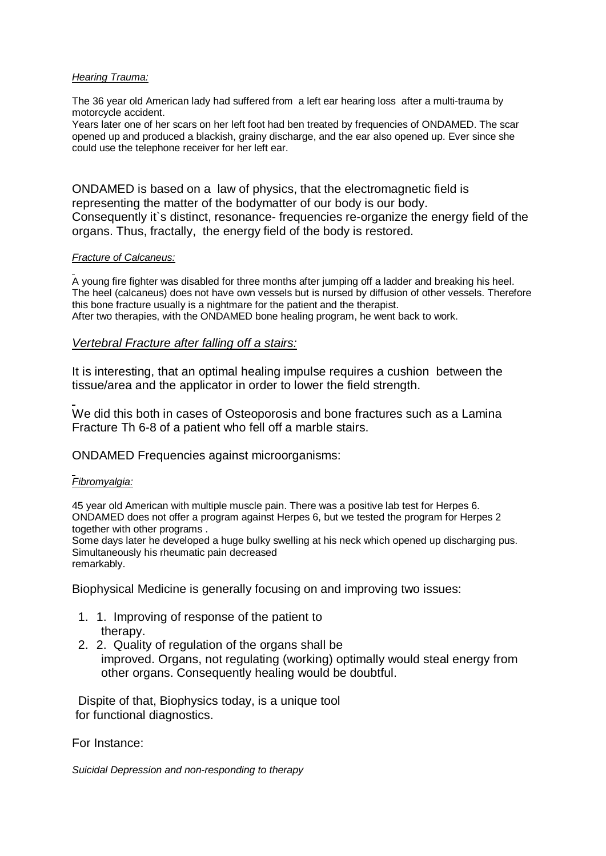#### *Hearing Trauma:*

The 36 year old American lady had suffered from a left ear hearing loss after a multi-trauma by motorcycle accident.

Years later one of her scars on her left foot had ben treated by frequencies of ONDAMED. The scar opened up and produced a blackish, grainy discharge, and the ear also opened up. Ever since she could use the telephone receiver for her left ear.

ONDAMED is based on a law of physics, that the electromagnetic field is representing the matter of the bodymatter of our body is our body. Consequently it`s distinct, resonance- frequencies re-organize the energy field of the organs. Thus, fractally, the energy field of the body is restored.

#### *Fracture of Calcaneus:*

A young fire fighter was disabled for three months after jumping off a ladder and breaking his heel. The heel (calcaneus) does not have own vessels but is nursed by diffusion of other vessels. Therefore this bone fracture usually is a nightmare for the patient and the therapist. After two therapies, with the ONDAMED bone healing program, he went back to work.

#### *Vertebral Fracture after falling off a stairs:*

It is interesting, that an optimal healing impulse requires a cushion between the tissue/area and the applicator in order to lower the field strength.

We did this both in cases of Osteoporosis and bone fractures such as a Lamina Fracture Th 6-8 of a patient who fell off a marble stairs.

ONDAMED Frequencies against microorganisms:

#### *Fibromyalgia:*

45 year old American with multiple muscle pain. There was a positive lab test for Herpes 6. ONDAMED does not offer a program against Herpes 6, but we tested the program for Herpes 2 together with other programs .

Some days later he developed a huge bulky swelling at his neck which opened up discharging pus. Simultaneously his rheumatic pain decreased remarkably.

Biophysical Medicine is generally focusing on and improving two issues:

- 1. 1. Improving of response of the patient to therapy.
- 2. 2. Quality of regulation of the organs shall be improved. Organs, not regulating (working) optimally would steal energy from other organs. Consequently healing would be doubtful.

Dispite of that, Biophysics today, is a unique tool for functional diagnostics.

For Instance:

*Suicidal Depression and non-responding to therapy*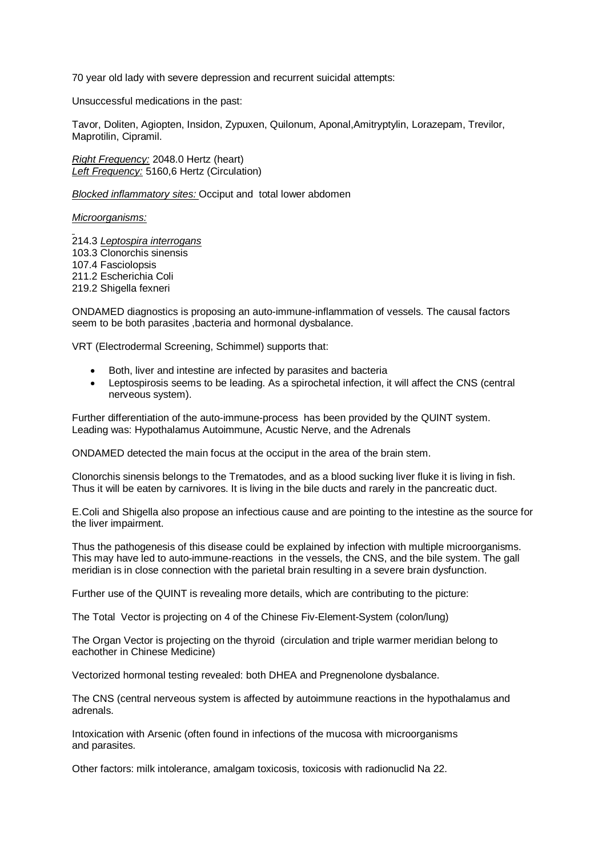70 year old lady with severe depression and recurrent suicidal attempts:

Unsuccessful medications in the past:

Tavor, Doliten, Agiopten, Insidon, Zypuxen, Quilonum, Aponal,Amitryptylin, Lorazepam, Trevilor, Maprotilin, Cipramil.

*Right Frequency:* 2048.0 Hertz (heart) *Left Frequency:* 5160,6 Hertz (Circulation)

*Blocked inflammatory sites:* Occiput and total lower abdomen

*Microorganisms:* 

214.3 *Leptospira interrogans* 103.3 Clonorchis sinensis 107.4 Fasciolopsis 211.2 Escherichia Coli 219.2 Shigella fexneri

ONDAMED diagnostics is proposing an auto-immune-inflammation of vessels. The causal factors seem to be both parasites ,bacteria and hormonal dysbalance.

VRT (Electrodermal Screening, Schimmel) supports that:

- Both, liver and intestine are infected by parasites and bacteria
- Leptospirosis seems to be leading. As a spirochetal infection, it will affect the CNS (central nerveous system).

Further differentiation of the auto-immune-process has been provided by the QUINT system. Leading was: Hypothalamus Autoimmune, Acustic Nerve, and the Adrenals

ONDAMED detected the main focus at the occiput in the area of the brain stem.

Clonorchis sinensis belongs to the Trematodes, and as a blood sucking liver fluke it is living in fish. Thus it will be eaten by carnivores. It is living in the bile ducts and rarely in the pancreatic duct.

E.Coli and Shigella also propose an infectious cause and are pointing to the intestine as the source for the liver impairment.

Thus the pathogenesis of this disease could be explained by infection with multiple microorganisms. This may have led to auto-immune-reactions in the vessels, the CNS, and the bile system. The gall meridian is in close connection with the parietal brain resulting in a severe brain dysfunction.

Further use of the QUINT is revealing more details, which are contributing to the picture:

The Total Vector is projecting on 4 of the Chinese Fiv-Element-System (colon/lung)

The Organ Vector is projecting on the thyroid (circulation and triple warmer meridian belong to eachother in Chinese Medicine)

Vectorized hormonal testing revealed: both DHEA and Pregnenolone dysbalance.

The CNS (central nerveous system is affected by autoimmune reactions in the hypothalamus and adrenals.

Intoxication with Arsenic (often found in infections of the mucosa with microorganisms and parasites.

Other factors: milk intolerance, amalgam toxicosis, toxicosis with radionuclid Na 22.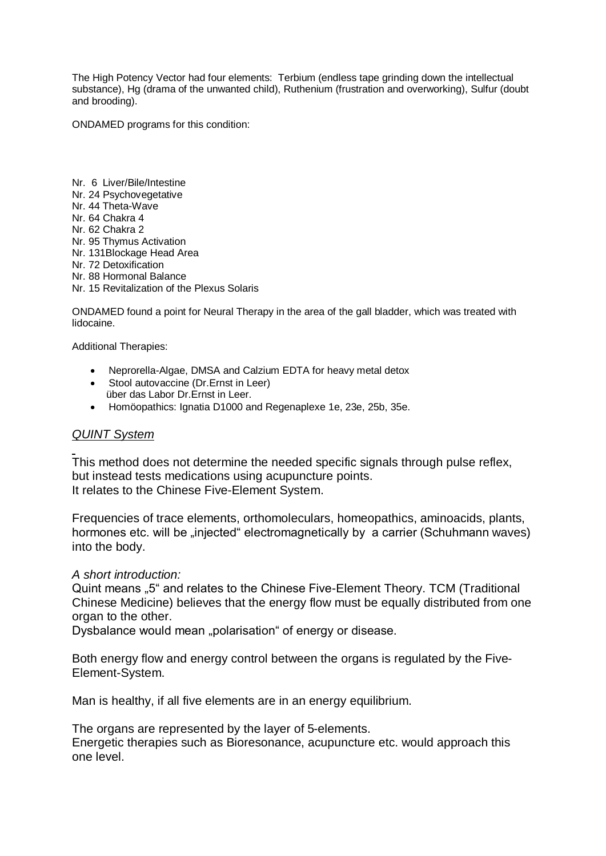The High Potency Vector had four elements: Terbium (endless tape grinding down the intellectual substance), Hg (drama of the unwanted child), Ruthenium (frustration and overworking), Sulfur (doubt and brooding).

ONDAMED programs for this condition:

Nr. 6 Liver/Bile/Intestine Nr. 24 Psychovegetative Nr. 44 Theta-Wave Nr. 64 Chakra 4 Nr. 62 Chakra 2 Nr. 95 Thymus Activation Nr. 131Blockage Head Area Nr. 72 Detoxification Nr. 88 Hormonal Balance Nr. 15 Revitalization of the Plexus Solaris

ONDAMED found a point for Neural Therapy in the area of the gall bladder, which was treated with lidocaine.

Additional Therapies:

- Neprorella-Algae, DMSA and Calzium EDTA for heavy metal detox
- Stool autovaccine (Dr. Ernst in Leer) über das Labor Dr.Ernst in Leer.
- Homöopathics: Ignatia D1000 and Regenaplexe 1e, 23e, 25b, 35e.

#### *QUINT System*

This method does not determine the needed specific signals through pulse reflex, but instead tests medications using acupuncture points. It relates to the Chinese Five-Element System.

Frequencies of trace elements, orthomoleculars, homeopathics, aminoacids, plants, hormones etc. will be "injected" electromagnetically by a carrier (Schuhmann waves) into the body.

#### *A short introduction:*

Quint means "5" and relates to the Chinese Five-Element Theory. TCM (Traditional Chinese Medicine) believes that the energy flow must be equally distributed from one organ to the other.

Dysbalance would mean "polarisation" of energy or disease.

Both energy flow and energy control between the organs is regulated by the Five-Element-System.

Man is healthy, if all five elements are in an energy equilibrium.

The organs are represented by the layer of 5-elements.

Energetic therapies such as Bioresonance, acupuncture etc. would approach this one level.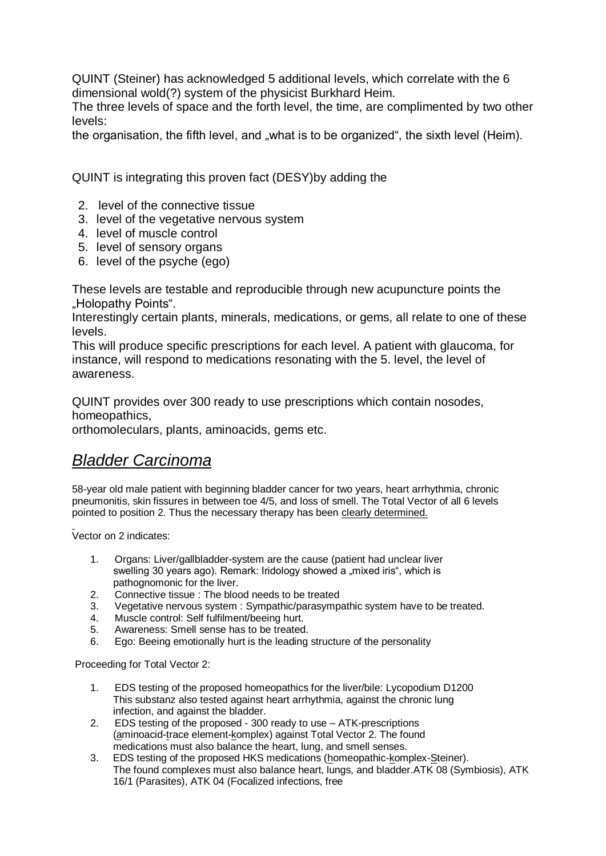QUINT (Steiner) has acknowledged 5 additional levels, which correlate with the 6 dimensional wold(?) system of the physicist Burkhard Heim.

The three levels of space and the forth level, the time, are complimented by two other levels:

the organisation, the fifth level, and "what is to be organized", the sixth level (Heim).

QUINT is integrating this proven fact (DESY)by adding the

- 2. level of the connective tissue
- 3. level of the vegetative nervous system
- 4. level of muscle control
- 5. level of sensory organs
- 6. level of the psyche (ego)

These levels are testable and reproducible through new acupuncture points the "Holopathy Points".

Interestingly certain plants, minerals, medications, or gems, all relate to one of these levels.

This will produce specific prescriptions for each level. A patient with glaucoma, for instance, will respond to medications resonating with the 5. level, the level of awareness.

QUINT provides over 300 ready to use prescriptions which contain nosodes, homeopathics,

orthomoleculars, plants, aminoacids, gems etc.

# *Bladder Carcinoma*

58-year old male patient with beginning bladder cancer for two years, heart arrhythmia, chronic pneumonitis, skin fissures in between toe 4/5, and loss of smell. The Total Vector of all 6 levels pointed to position 2. Thus the necessary therapy has been clearly determined.

Vector on 2 indicates:

- 1. Organs: Liver/gallbladder-system are the cause (patient had unclear liver swelling 30 years ago). Remark: Iridology showed a "mixed iris", which is
- pathognomonic for the liver.<br>2. Connective tissue : The bloc Connective tissue : The blood needs to be treated
- 3. Vegetative nervous system : Sympathic/parasympathic system have to be treated.
- 4. Muscle control: Self fulfilment/beeing hurt.
- 5. Awareness: Smell sense has to be treated.
- 6. Ego: Beeing emotionally hurt is the leading structure of the personality

Proceeding for Total Vector 2:

- 1. EDS testing of the proposed homeopathics for the liver/bile: Lycopodium D1200 This substanz also tested against heart arrhythmia, against the chronic lung infection, and against the bladder.
- 2. EDS testing of the proposed 300 ready to use ATK-prescriptions (aminoacid-trace element-komplex) against Total Vector 2. The found medications must also balance the heart, lung, and smell senses.
- 3. EDS testing of the proposed HKS medications (homeopathic-komplex-Steiner). The found complexes must also balance heart, lungs, and bladder.ATK 08 (Symbiosis), ATK 16/1 (Parasites), ATK 04 (Focalized infections, free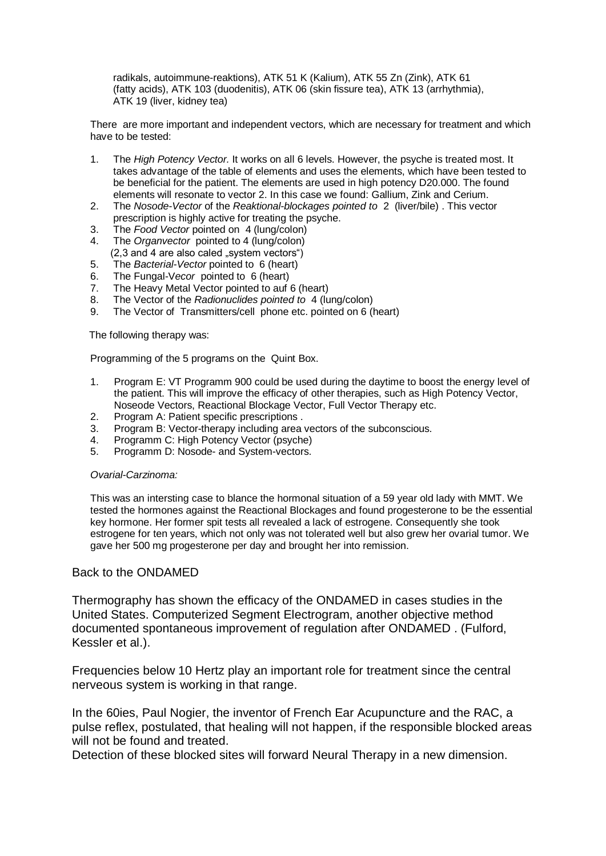radikals, autoimmune-reaktions), ATK 51 K (Kalium), ATK 55 Zn (Zink), ATK 61 (fatty acids), ATK 103 (duodenitis), ATK 06 (skin fissure tea), ATK 13 (arrhythmia), ATK 19 (liver, kidney tea)

There are more important and independent vectors, which are necessary for treatment and which have to be tested:

- 1. The *High Potency Vector.* It works on all 6 levels. However, the psyche is treated most. It takes advantage of the table of elements and uses the elements, which have been tested to be beneficial for the patient. The elements are used in high potency D20.000. The found elements will resonate to vector 2. In this case we found: Gallium, Zink and Cerium.
- 2. The *Nosode-Vector* of the *Reaktional-blockages pointed to* 2 (liver/bile) . This vector prescription is highly active for treating the psyche.
- 3. The *Food Vector* pointed on 4 (lung/colon)
- 4. The *Organvector* pointed to 4 (lung/colon)
- $(2,3 \text{ and } 4 \text{ are also called },$  system vectors")
- 5. The *Bacterial-Vector* pointed to 6 (heart)
- 6. The Fungal-V*ecor* pointed to 6 (heart)
- 7. The Heavy Metal Vector pointed to auf 6 (heart)
- 8. The Vector of the *Radionuclides pointed to* 4 (lung/colon)
- 9. The Vector of Transmitters/cell phone etc. pointed on 6 (heart)

The following therapy was:

Programming of the 5 programs on the Quint Box.

- 1. Program E: VT Programm 900 could be used during the daytime to boost the energy level of the patient. This will improve the efficacy of other therapies, such as High Potency Vector, Noseode Vectors, Reactional Blockage Vector, Full Vector Therapy etc.
- 2. Program A: Patient specific prescriptions .
- 3. Program B: Vector-therapy including area vectors of the subconscious.
- 4. Programm C: High Potency Vector (psyche)
- 5. Programm D: Nosode- and System-vectors.

#### *Ovarial-Carzinoma:*

This was an intersting case to blance the hormonal situation of a 59 year old lady with MMT. We tested the hormones against the Reactional Blockages and found progesterone to be the essential key hormone. Her former spit tests all revealed a lack of estrogene. Consequently she took estrogene for ten years, which not only was not tolerated well but also grew her ovarial tumor. We gave her 500 mg progesterone per day and brought her into remission.

#### Back to the ONDAMED

Thermography has shown the efficacy of the ONDAMED in cases studies in the United States. Computerized Segment Electrogram, another objective method documented spontaneous improvement of regulation after ONDAMED . (Fulford, Kessler et al.).

Frequencies below 10 Hertz play an important role for treatment since the central nerveous system is working in that range.

In the 60ies, Paul Nogier, the inventor of French Ear Acupuncture and the RAC, a pulse reflex, postulated, that healing will not happen, if the responsible blocked areas will not be found and treated.

Detection of these blocked sites will forward Neural Therapy in a new dimension.